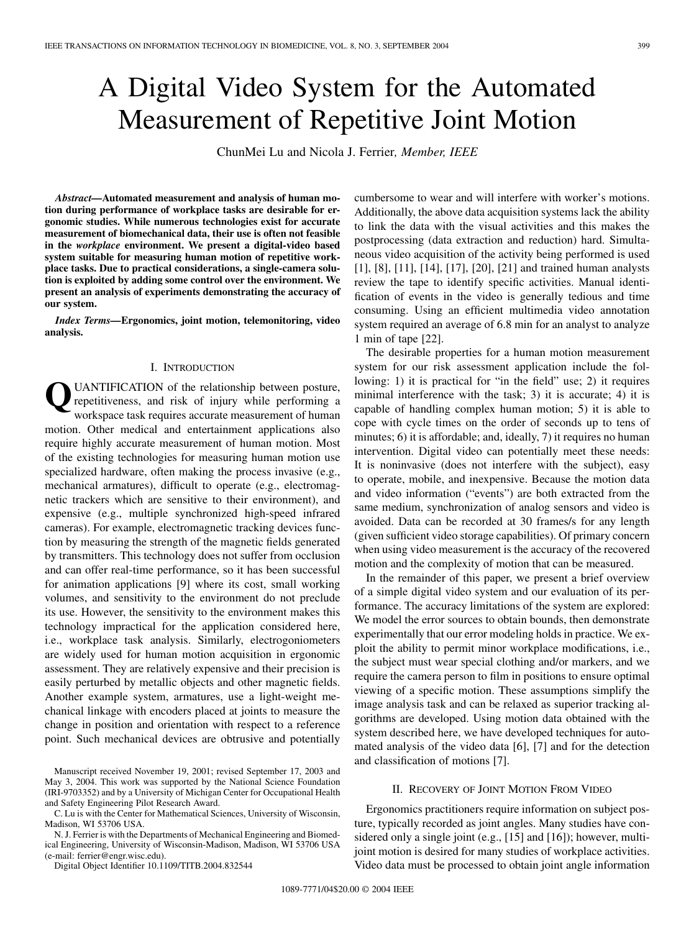# A Digital Video System for the Automated Measurement of Repetitive Joint Motion

ChunMei Lu and Nicola J. Ferrier*, Member, IEEE*

*Abstract—***Automated measurement and analysis of human motion during performance of workplace tasks are desirable for ergonomic studies. While numerous technologies exist for accurate measurement of biomechanical data, their use is often not feasible in the** *workplace* **environment. We present a digital-video based system suitable for measuring human motion of repetitive workplace tasks. Due to practical considerations, a single-camera solution is exploited by adding some control over the environment. We present an analysis of experiments demonstrating the accuracy of our system.**

*Index Terms—***Ergonomics, joint motion, telemonitoring, video analysis.**

## I. INTRODUCTION

**Q**UANTIFICATION of the relationship between posture,<br>repetitiveness, and risk of injury while performing a<br>weakeness tel requires acquirate measurement of human workspace task requires accurate measurement of human motion. Other medical and entertainment applications also require highly accurate measurement of human motion. Most of the existing technologies for measuring human motion use specialized hardware, often making the process invasive (e.g., mechanical armatures), difficult to operate (e.g., electromagnetic trackers which are sensitive to their environment), and expensive (e.g., multiple synchronized high-speed infrared cameras). For example, electromagnetic tracking devices function by measuring the strength of the magnetic fields generated by transmitters. This technology does not suffer from occlusion and can offer real-time performance, so it has been successful for animation applications [\[9](#page-4-0)] where its cost, small working volumes, and sensitivity to the environment do not preclude its use. However, the sensitivity to the environment makes this technology impractical for the application considered here, i.e., workplace task analysis. Similarly, electrogoniometers are widely used for human motion acquisition in ergonomic assessment. They are relatively expensive and their precision is easily perturbed by metallic objects and other magnetic fields. Another example system, armatures, use a light-weight mechanical linkage with encoders placed at joints to measure the change in position and orientation with respect to a reference point. Such mechanical devices are obtrusive and potentially

Manuscript received November 19, 2001; revised September 17, 2003 and May 3, 2004. This work was supported by the National Science Foundation (IRI-9703352) and by a University of Michigan Center for Occupational Health and Safety Engineering Pilot Research Award.

C. Lu is with the Center for Mathematical Sciences, University of Wisconsin, Madison, WI 53706 USA.

N. J. Ferrier is with the Departments of Mechanical Engineering and Biomedical Engineering, University of Wisconsin-Madison, Madison, WI 53706 USA (e-mail: ferrier@engr.wisc.edu).

Digital Object Identifier 10.1109/TITB.2004.832544

cumbersome to wear and will interfere with worker's motions. Additionally, the above data acquisition systems lack the ability to link the data with the visual activities and this makes the postprocessing (data extraction and reduction) hard. Simultaneous video acquisition of the activity being performed is used [\[1](#page-4-0)], [\[8](#page-4-0)], [\[11](#page-4-0)], [\[14](#page-5-0)], [\[17](#page-5-0)], [\[20](#page-5-0)], [\[21](#page-5-0)] and trained human analysts review the tape to identify specific activities. Manual identification of events in the video is generally tedious and time consuming. Using an efficient multimedia video annotation system required an average of 6.8 min for an analyst to analyze 1 min of tape [[22](#page-5-0)].

The desirable properties for a human motion measurement system for our risk assessment application include the following: 1) it is practical for "in the field" use; 2) it requires minimal interference with the task; 3) it is accurate; 4) it is capable of handling complex human motion; 5) it is able to cope with cycle times on the order of seconds up to tens of minutes; 6) it is affordable; and, ideally, 7) it requires no human intervention. Digital video can potentially meet these needs: It is noninvasive (does not interfere with the subject), easy to operate, mobile, and inexpensive. Because the motion data and video information ("events") are both extracted from the same medium, synchronization of analog sensors and video is avoided. Data can be recorded at 30 frames/s for any length (given sufficient video storage capabilities). Of primary concern when using video measurement is the accuracy of the recovered motion and the complexity of motion that can be measured.

In the remainder of this paper, we present a brief overview of a simple digital video system and our evaluation of its performance. The accuracy limitations of the system are explored: We model the error sources to obtain bounds, then demonstrate experimentally that our error modeling holds in practice. We exploit the ability to permit minor workplace modifications, i.e., the subject must wear special clothing and/or markers, and we require the camera person to film in positions to ensure optimal viewing of a specific motion. These assumptions simplify the image analysis task and can be relaxed as superior tracking algorithms are developed. Using motion data obtained with the system described here, we have developed techniques for automated analysis of the video data [\[6](#page-4-0)], [\[7](#page-4-0)] and for the detection and classification of motions [\[7](#page-4-0)].

# II. RECOVERY OF JOINT MOTION FROM VIDEO

Ergonomics practitioners require information on subject posture, typically recorded as joint angles. Many studies have considered only a single joint (e.g., [\[15](#page-5-0)] and [[16\]](#page-5-0)); however, multijoint motion is desired for many studies of workplace activities. Video data must be processed to obtain joint angle information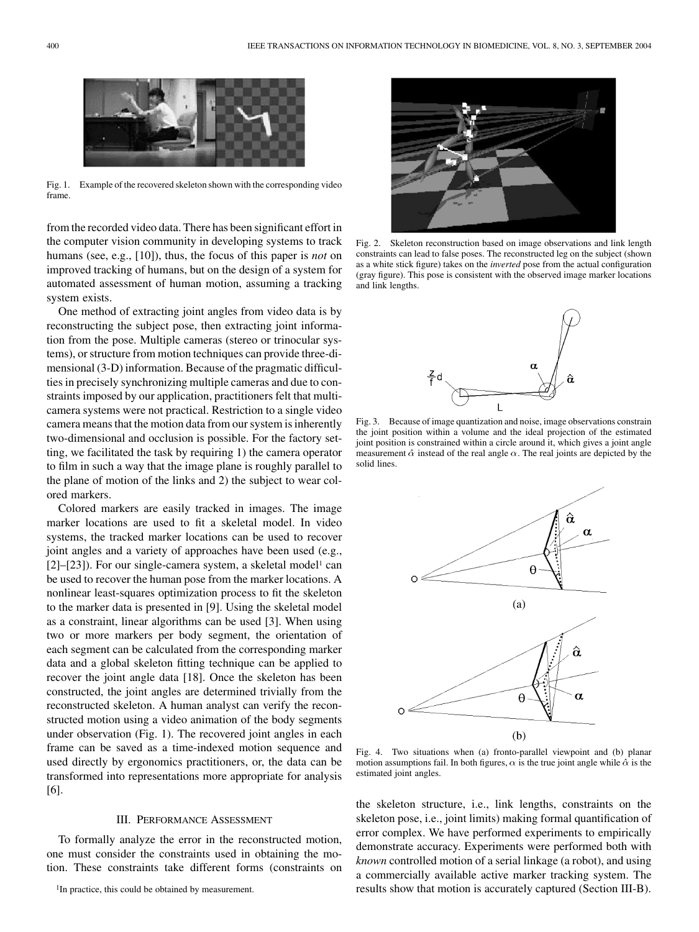

Fig. 1. Example of the recovered skeleton shown with the corresponding video frame.

from the recorded video data. There has been significant effort in the computer vision community in developing systems to track humans (see, e.g., [\[10](#page-4-0)]), thus, the focus of this paper is *not* on improved tracking of humans, but on the design of a system for automated assessment of human motion, assuming a tracking system exists.

One method of extracting joint angles from video data is by reconstructing the subject pose, then extracting joint information from the pose. Multiple cameras (stereo or trinocular systems), or structure from motion techniques can provide three-dimensional (3-D) information. Because of the pragmatic difficulties in precisely synchronizing multiple cameras and due to constraints imposed by our application, practitioners felt that multicamera systems were not practical. Restriction to a single video camera means that the motion data from our system is inherently two-dimensional and occlusion is possible. For the factory setting, we facilitated the task by requiring 1) the camera operator to film in such a way that the image plane is roughly parallel to the plane of motion of the links and 2) the subject to wear colored markers.

Colored markers are easily tracked in images. The image marker locations are used to fit a skeletal model. In video systems, the tracked marker locations can be used to recover joint angles and a variety of approaches have been used (e.g.,  $[2]$  $[2]$ – $[23]$  $[23]$  $[23]$ ). For our single-camera system, a skeletal model<sup>1</sup> can be used to recover the human pose from the marker locations. A nonlinear least-squares optimization process to fit the skeleton to the marker data is presented in [\[9](#page-4-0)]. Using the skeletal model as a constraint, linear algorithms can be used [\[3](#page-4-0)]. When using two or more markers per body segment, the orientation of each segment can be calculated from the corresponding marker data and a global skeleton fitting technique can be applied to recover the joint angle data [[18\]](#page-5-0). Once the skeleton has been constructed, the joint angles are determined trivially from the reconstructed skeleton. A human analyst can verify the reconstructed motion using a video animation of the body segments under observation (Fig. 1). The recovered joint angles in each frame can be saved as a time-indexed motion sequence and used directly by ergonomics practitioners, or, the data can be transformed into representations more appropriate for analysis [[6\]](#page-4-0).

## III. PERFORMANCE ASSESSMENT

To formally analyze the error in the reconstructed motion, one must consider the constraints used in obtaining the motion. These constraints take different forms (constraints on



Fig. 2. Skeleton reconstruction based on image observations and link length constraints can lead to false poses. The reconstructed leg on the subject (shown as a white stick figure) takes on the *inverted* pose from the actual configuration (gray figure). This pose is consistent with the observed image marker locations and link lengths.



Fig. 3. Because of image quantization and noise, image observations constrain<br>the joint position within a volume and the ideal projection of the estimated<br>joint position is constrained within a circle around it, which giv the joint position within a volume and the ideal projection of the estimated joint position is constrained within a circle around it, which gives a joint angle solid lines.



Fig. 4. Two situations when (a) fronto-parallel viewpoint and (b) planar estimated joint angles.

the skeleton structure, i.e., link lengths, constraints on the skeleton pose, i.e., joint limits) making formal quantification of error complex. We have performed experiments to empirically demonstrate accuracy. Experiments were performed both with *known* controlled motion of a serial linkage (a robot), and using a commercially available active marker tracking system. The results show that motion is accurately captured (Section III-B).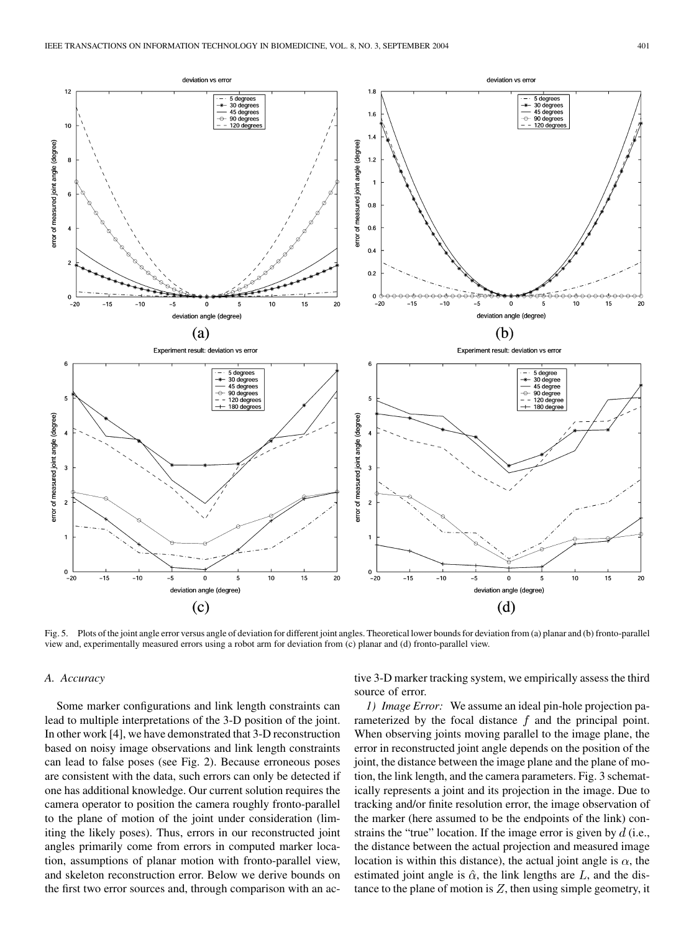

Fig. 5. Plots of the joint angle error versus angle of deviation for different joint angles. Theoretical lower bounds for deviation from (a) planar and (b) fronto-parallel view and, experimentally measured errors using a robot arm for deviation from (c) planar and (d) fronto-parallel view.

# *A. Accuracy*

Some marker configurations and link length constraints can lead to multiple interpretations of the 3-D position of the joint. In other work [\[4](#page-4-0)], we have demonstrated that 3-D reconstruction based on noisy image observations and link length constraints can lead to false poses (see Fig. 2). Because erroneous poses are consistent with the data, such errors can only be detected if one has additional knowledge. Our current solution requires the camera operator to position the camera roughly fronto-parallel to the plane of motion of the joint under consideration (limiting the likely poses). Thus, errors in our reconstructed joint angles primarily come from errors in computed marker location, assumptions of planar motion with fronto-parallel view, and skeleton reconstruction error. Below we derive bounds on the first two error sources and, through comparison with an active 3-D marker tracking system, we empirically assess the third source of error.

*1) Image Error:* We assume an ideal pin-hole projection parameterized by the focal distance  $f$  and the principal point. When observing joints moving parallel to the image plane, the error in reconstructed joint angle depends on the position of the joint, the distance between the image plane and the plane of motion, the link length, and the camera parameters. Fig. 3 schematically represents a joint and its projection in the image. Due to tracking and/or finite resolution error, the image observation of the marker (here assumed to be the endpoints of the link) constrains the "true" location. If the image error is given by  $d$  (i.e., the distance between the actual projection and measured image location is within this distance), the actual joint angle is  $\alpha$ , the estimated joint angle is  $\hat{\alpha}$ , the link lengths are L, and the distance to the plane of motion is  $Z$ , then using simple geometry, it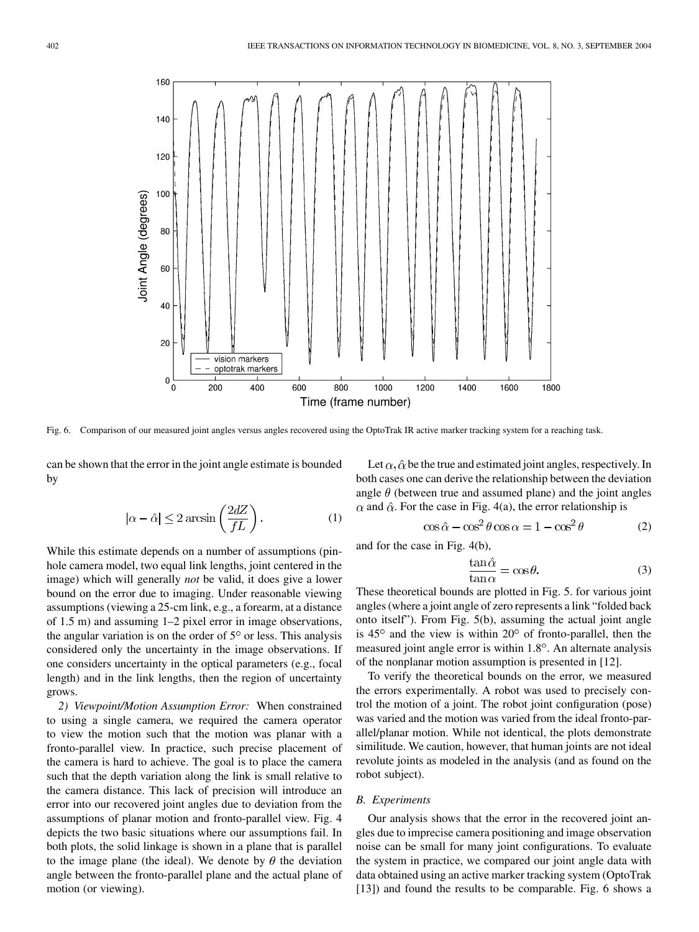

Fig. 6. Comparison of our measured joint angles versus angles recovered using the OptoTrak IR active marker tracking system for a reaching task.

can be shown that the error in the joint angle estimate is bounded by

$$
|\alpha - \hat{\alpha}| \le 2 \arcsin\left(\frac{2dZ}{fL}\right). \tag{1}
$$

While this estimate depends on a number of assumptions (pinhole camera model, two equal link lengths, joint centered in the image) which will generally *not* be valid, it does give a lower bound on the error due to imaging. Under reasonable viewing assumptions (viewing a 25-cm link, e.g., a forearm, at a distance of 1.5 m) and assuming 1–2 pixel error in image observations, the angular variation is on the order of  $5^\circ$  or less. This analysis considered only the uncertainty in the image observations. If one considers uncertainty in the optical parameters (e.g., focal length) and in the link lengths, then the region of uncertainty grows.

*2) Viewpoint/Motion Assumption Error:* When constrained to using a single camera, we required the camera operator to view the motion such that the motion was planar with a fronto-parallel view. In practice, such precise placement of the camera is hard to achieve. The goal is to place the camera such that the depth variation along the link is small relative to the camera distance. This lack of precision will introduce an error into our recovered joint angles due to deviation from the assumptions of planar motion and fronto-parallel view. Fig. 4 depicts the two basic situations where our assumptions fail. In both plots, the solid linkage is shown in a plane that is parallel to the image plane (the ideal). We denote by  $\theta$  the deviation angle between the fronto-parallel plane and the actual plane of motion (or viewing).

Let  $\alpha$ ,  $\hat{\alpha}$  be the true and estimated joint angles, respectively. In both cases one can derive the relationship between the deviation angle  $\theta$  (between true and assumed plane) and the joint angles  $\alpha$  and  $\hat{\alpha}$ . For the case in Fig. 4(a), the error relationship is

$$
\cos \hat{\alpha} - \cos^2 \theta \cos \alpha = 1 - \cos^2 \theta \tag{2}
$$

and for the case in Fig. 4(b),

$$
\frac{\tan \alpha}{\tan \alpha} = \cos \theta. \tag{3}
$$

These theoretical bounds are plotted in Fig. 5. for various joint angles (where a joint angle of zero represents a link "folded back onto itself"). From Fig. 5(b), assuming the actual joint angle is  $45^{\circ}$  and the view is within  $20^{\circ}$  of fronto-parallel, then the measured joint angle error is within  $1.8^\circ$ . An alternate analysis of the nonplanar motion assumption is presented in [[12\]](#page-4-0).

To verify the theoretical bounds on the error, we measured the errors experimentally. A robot was used to precisely control the motion of a joint. The robot joint configuration (pose) was varied and the motion was varied from the ideal fronto-parallel/planar motion. While not identical, the plots demonstrate similitude. We caution, however, that human joints are not ideal revolute joints as modeled in the analysis (and as found on the robot subject).

# *B. Experiments*

Our analysis shows that the error in the recovered joint angles due to imprecise camera positioning and image observation noise can be small for many joint configurations. To evaluate the system in practice, we compared our joint angle data with data obtained using an active marker tracking system (OptoTrak [[13\]](#page-4-0)) and found the results to be comparable. Fig. 6 shows a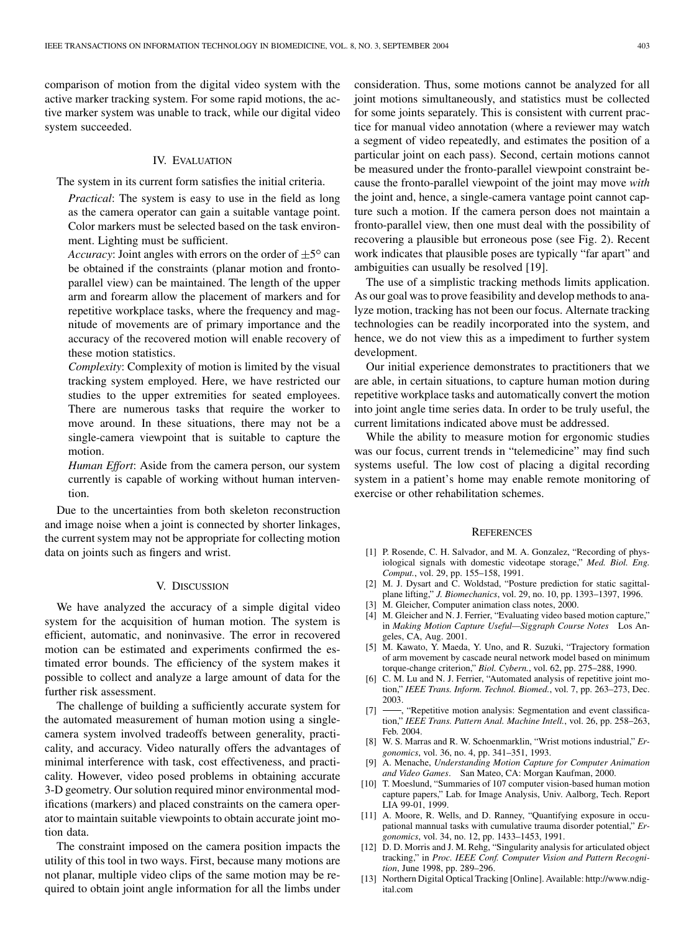<span id="page-4-0"></span>comparison of motion from the digital video system with the active marker tracking system. For some rapid motions, the active marker system was unable to track, while our digital video system succeeded.

## IV. EVALUATION

The system in its current form satisfies the initial criteria.

*Practical*: The system is easy to use in the field as long as the camera operator can gain a suitable vantage point. Color markers must be selected based on the task environment. Lighting must be sufficient.

*Accuracy*: Joint angles with errors on the order of  $\pm 5^{\circ}$  can be obtained if the constraints (planar motion and frontoparallel view) can be maintained. The length of the upper arm and forearm allow the placement of markers and for repetitive workplace tasks, where the frequency and magnitude of movements are of primary importance and the accuracy of the recovered motion will enable recovery of these motion statistics.

*Complexity*: Complexity of motion is limited by the visual tracking system employed. Here, we have restricted our studies to the upper extremities for seated employees. There are numerous tasks that require the worker to move around. In these situations, there may not be a single-camera viewpoint that is suitable to capture the motion.

*Human Effort*: Aside from the camera person, our system currently is capable of working without human intervention.

Due to the uncertainties from both skeleton reconstruction and image noise when a joint is connected by shorter linkages, the current system may not be appropriate for collecting motion data on joints such as fingers and wrist.

### V. DISCUSSION

We have analyzed the accuracy of a simple digital video system for the acquisition of human motion. The system is efficient, automatic, and noninvasive. The error in recovered motion can be estimated and experiments confirmed the estimated error bounds. The efficiency of the system makes it possible to collect and analyze a large amount of data for the further risk assessment.

The challenge of building a sufficiently accurate system for the automated measurement of human motion using a singlecamera system involved tradeoffs between generality, practicality, and accuracy. Video naturally offers the advantages of minimal interference with task, cost effectiveness, and practicality. However, video posed problems in obtaining accurate 3-D geometry. Our solution required minor environmental modifications (markers) and placed constraints on the camera operator to maintain suitable viewpoints to obtain accurate joint motion data.

The constraint imposed on the camera position impacts the utility of this tool in two ways. First, because many motions are not planar, multiple video clips of the same motion may be required to obtain joint angle information for all the limbs under consideration. Thus, some motions cannot be analyzed for all joint motions simultaneously, and statistics must be collected for some joints separately. This is consistent with current practice for manual video annotation (where a reviewer may watch a segment of video repeatedly, and estimates the position of a particular joint on each pass). Second, certain motions cannot be measured under the fronto-parallel viewpoint constraint because the fronto-parallel viewpoint of the joint may move *with* the joint and, hence, a single-camera vantage point cannot capture such a motion. If the camera person does not maintain a fronto-parallel view, then one must deal with the possibility of recovering a plausible but erroneous pose (see Fig. 2). Recent work indicates that plausible poses are typically "far apart" and ambiguities can usually be resolved [\[19](#page-5-0)].

The use of a simplistic tracking methods limits application. As our goal was to prove feasibility and develop methods to analyze motion, tracking has not been our focus. Alternate tracking technologies can be readily incorporated into the system, and hence, we do not view this as a impediment to further system development.

Our initial experience demonstrates to practitioners that we are able, in certain situations, to capture human motion during repetitive workplace tasks and automatically convert the motion into joint angle time series data. In order to be truly useful, the current limitations indicated above must be addressed.

While the ability to measure motion for ergonomic studies was our focus, current trends in "telemedicine" may find such systems useful. The low cost of placing a digital recording system in a patient's home may enable remote monitoring of exercise or other rehabilitation schemes.

## **REFERENCES**

- [1] P. Rosende, C. H. Salvador, and M. A. Gonzalez, "Recording of physiological signals with domestic videotape storage," *Med. Biol. Eng. Comput.*, vol. 29, pp. 155–158, 1991.
- [2] M. J. Dysart and C. Woldstad, "Posture prediction for static sagittalplane lifting," *J. Biomechanics*, vol. 29, no. 10, pp. 1393–1397, 1996.
- [3] M. Gleicher, Computer animation class notes, 2000.
- [4] M. Gleicher and N. J. Ferrier, "Evaluating video based motion capture," in *Making Motion Capture Useful—Siggraph Course Notes* Los Angeles, CA, Aug. 2001.
- [5] M. Kawato, Y. Maeda, Y. Uno, and R. Suzuki, "Trajectory formation of arm movement by cascade neural network model based on minimum torque-change criterion," *Biol. Cybern.*, vol. 62, pp. 275–288, 1990.
- [6] C. M. Lu and N. J. Ferrier, "Automated analysis of repetitive joint motion," *IEEE Trans. Inform. Technol. Biomed.*, vol. 7, pp. 263–273, Dec. 2003.
- [7] -, "Repetitive motion analysis: Segmentation and event classification," *IEEE Trans. Pattern Anal. Machine Intell.*, vol. 26, pp. 258–263, Feb. 2004.
- [8] W. S. Marras and R. W. Schoenmarklin, "Wrist motions industrial," *Ergonomics*, vol. 36, no. 4, pp. 341–351, 1993.
- [9] A. Menache, *Understanding Motion Capture for Computer Animation and Video Games*. San Mateo, CA: Morgan Kaufman, 2000.
- [10] T. Moeslund, "Summaries of 107 computer vision-based human motion capture papers," Lab. for Image Analysis, Univ. Aalborg, Tech. Report LIA 99-01, 1999.
- [11] A. Moore, R. Wells, and D. Ranney, "Quantifying exposure in occupational mannual tasks with cumulative trauma disorder potential," *Ergonomics*, vol. 34, no. 12, pp. 1433–1453, 1991.
- [12] D. D. Morris and J. M. Rehg, "Singularity analysis for articulated object tracking," in *Proc. IEEE Conf. Computer Vision and Pattern Recognition*, June 1998, pp. 289–296.
- [13] Northern Digital Optical Tracking [Online]. Available: http://www.ndigital.com